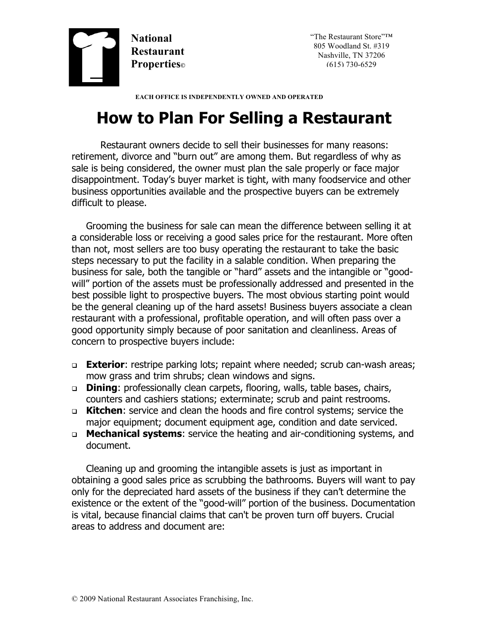

"The Restaurant Store"™ 805 Woodland St. #319 Nashville, TN 37206 (615) 730-6529

 **EACH OFFICE IS INDEPENDENTLY OWNED AND OPERATED**

## **How to Plan For Selling a Restaurant**

Restaurant owners decide to sell their businesses for many reasons: retirement, divorce and "burn out" are among them. But regardless of why as sale is being considered, the owner must plan the sale properly or face major disappointment. Today's buyer market is tight, with many foodservice and other business opportunities available and the prospective buyers can be extremely difficult to please.

Grooming the business for sale can mean the difference between selling it at a considerable loss or receiving a good sales price for the restaurant. More often than not, most sellers are too busy operating the restaurant to take the basic steps necessary to put the facility in a salable condition. When preparing the business for sale, both the tangible or "hard" assets and the intangible or "goodwill" portion of the assets must be professionally addressed and presented in the best possible light to prospective buyers. The most obvious starting point would be the general cleaning up of the hard assets! Business buyers associate a clean restaurant with a professional, profitable operation, and will often pass over a good opportunity simply because of poor sanitation and cleanliness. Areas of concern to prospective buyers include:

- <sup>q</sup> **Exterior**: restripe parking lots; repaint where needed; scrub can-wash areas; mow grass and trim shrubs; clean windows and signs.
- <sup>q</sup> **Dining**: professionally clean carpets, flooring, walls, table bases, chairs, counters and cashiers stations; exterminate; scrub and paint restrooms.
- <sup>q</sup> **Kitchen**: service and clean the hoods and fire control systems; service the major equipment; document equipment age, condition and date serviced.
- <sup>q</sup> **Mechanical systems**: service the heating and air-conditioning systems, and document.

Cleaning up and grooming the intangible assets is just as important in obtaining a good sales price as scrubbing the bathrooms. Buyers will want to pay only for the depreciated hard assets of the business if they can't determine the existence or the extent of the "good-will" portion of the business. Documentation is vital, because financial claims that can't be proven turn off buyers. Crucial areas to address and document are: